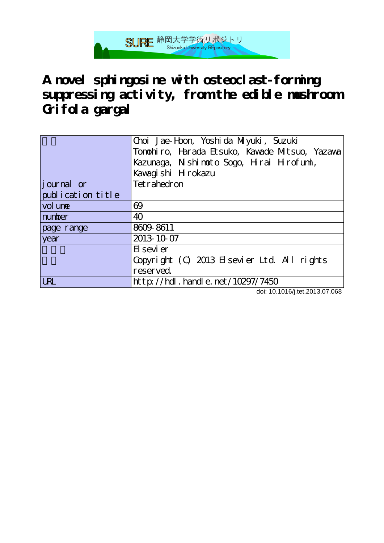

**A novel sphingosine with osteoclast-forming suppressing activity, from the edible mushroom Grifola gargal**

|                    | Choi Jae-Hon, Yoshida Miyuki, Suzuki           |  |  |  |
|--------------------|------------------------------------------------|--|--|--|
|                    | Tonohiro, Harada Etsuko, Kawade Mitsuo, Yazawa |  |  |  |
|                    | Kazunaga, Nishimoto Sogo, Hirai Hirofumi,      |  |  |  |
|                    | Kawagishi Hrokazu                              |  |  |  |
| <i>j</i> ournal or | Tetrahedron                                    |  |  |  |
| publication title  |                                                |  |  |  |
| vol une            | 69                                             |  |  |  |
| number             | 40                                             |  |  |  |
| page range         | 8609-8611                                      |  |  |  |
| year               | 2013-10-07                                     |  |  |  |
|                    | El sevi er                                     |  |  |  |
|                    | Copyright (C) 2013 Elsevier Ltd. All rights    |  |  |  |
|                    | reserved.                                      |  |  |  |
| <b>URL</b>         | http://hdl.handle.net/10297/7450               |  |  |  |

doi: 10.1016/j.tet.2013.07.068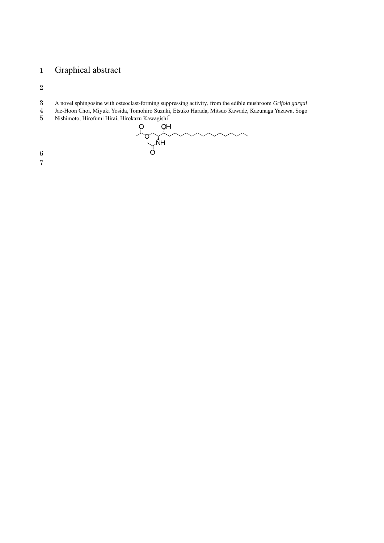# Graphical abstract

- A novel sphingosine with osteoclast-forming suppressing activity, from the edible mushroom *Grifola gargal*
- Jae-Hoon Choi, Miyuki Yosida, Tomohiro Suzuki, Etsuko Harada, Mitsuo Kawade, Kazunaga Yazawa, Sogo
- 

5 Nishimoto, Hirofumi Hirai, Hirokazu Kawagishi<sup>\*</sup><br>
O OH<br>
O OH<br>
O OH<br>
O O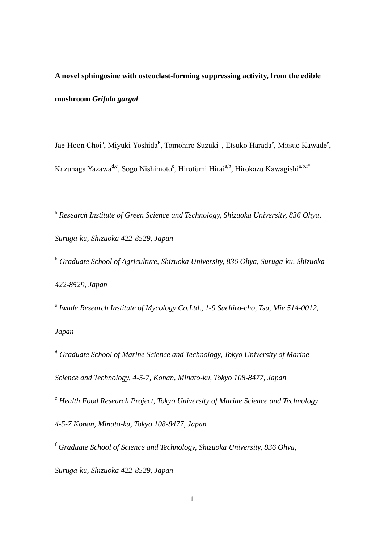**A novel sphingosine with osteoclast-forming suppressing activity, from the edible mushroom** *Grifola gargal*

Jae-Hoon Choi<sup>a</sup>, Miyuki Yoshida<sup>b</sup>, Tomohiro Suzuki<sup>a</sup>, Etsuko Harada<sup>c</sup>, Mitsuo Kawade<sup>c</sup>, Kazunaga Yazawa<sup>d,e</sup>, Sogo Nishimoto<sup>e</sup>, Hirofumi Hirai<sup>a,b</sup>, Hirokazu Kawagishi<sup>a,b,f\*</sup>

<sup>a</sup> Research Institute of Green Science and Technology, Shizuoka University, 836 Ohya, *Suruga-ku, Shizuoka 422-8529, Japan* 

<sup>b</sup> Graduate School of Agriculture, Shizuoka University, 836 Ohya, Suruga-ku, Shizuoka *422-8529, Japan* 

<sup>c</sup> Iwade Research Institute of Mycology Co.Ltd., 1-9 Suehiro-cho, Tsu, Mie 514-0012, *Japan* 

<sup>d</sup> Graduate School of Marine Science and Technology, Tokyo University of Marine *Science and Technology, 4-5-7, Konan, Minato-ku, Tokyo 108-8477, Japan* 

<sup>e</sup> *Health Food Research Project, Tokyo University of Marine Science and Technology 4-5-7 Konan, Minato-ku, Tokyo 108-8477, Japan*

<sup>f</sup> *Graduate School of Science and Technology, Shizuoka University, 836 Ohya, Suruga-ku, Shizuoka 422-8529, Japan*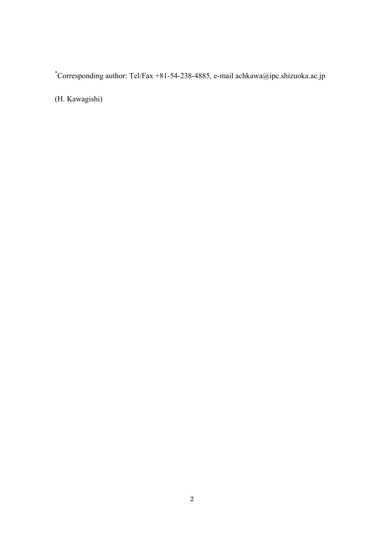\* Corresponding author: Tel/Fax +81-54-238-4885, e-mail achkawa@ipc.shizuoka.ac.jp

(H. Kawagishi)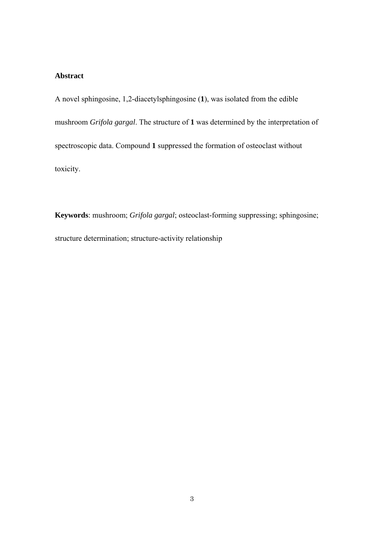# **Abstract**

A novel sphingosine, 1,2-diacetylsphingosine (**1**), was isolated from the edible mushroom *Grifola gargal*. The structure of **1** was determined by the interpretation of spectroscopic data. Compound **1** suppressed the formation of osteoclast without toxicity.

**Keywords**: mushroom; *Grifola gargal*; osteoclast-forming suppressing; sphingosine; structure determination; structure-activity relationship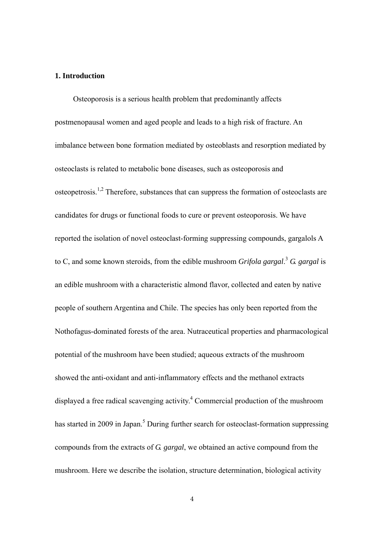## **1. Introduction**

Osteoporosis is a serious health problem that predominantly affects postmenopausal women and aged people and leads to a high risk of fracture. An imbalance between bone formation mediated by osteoblasts and resorption mediated by osteoclasts is related to metabolic bone diseases, such as osteoporosis and osteopetrosis.<sup>1,2</sup> Therefore, substances that can suppress the formation of osteoclasts are candidates for drugs or functional foods to cure or prevent osteoporosis. We have reported the isolation of novel osteoclast-forming suppressing compounds, gargalols A to C, and some known steroids, from the edible mushroom *Grifola gargal*. <sup>3</sup> *G. gargal* is an edible mushroom with a characteristic almond flavor, collected and eaten by native people of southern Argentina and Chile. The species has only been reported from the Nothofagus-dominated forests of the area. Nutraceutical properties and pharmacological potential of the mushroom have been studied; aqueous extracts of the mushroom showed the anti-oxidant and anti-inflammatory effects and the methanol extracts displayed a free radical scavenging activity.<sup>4</sup> Commercial production of the mushroom has started in 2009 in Japan.<sup>5</sup> During further search for osteoclast-formation suppressing compounds from the extracts of *G. gargal*, we obtained an active compound from the mushroom. Here we describe the isolation, structure determination, biological activity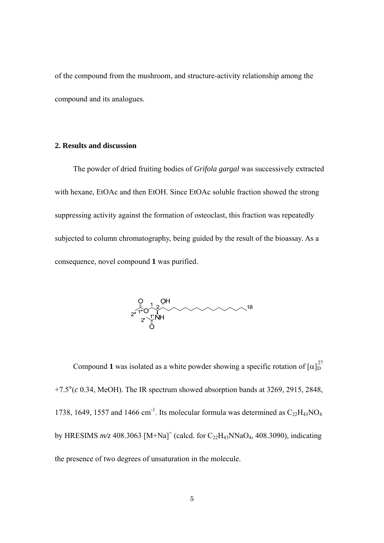of the compound from the mushroom, and structure-activity relationship among the compound and its analogues.

#### **2. Results and discussion**

The powder of dried fruiting bodies of *Grifola gargal* was successively extracted with hexane, EtOAc and then EtOH. Since EtOAc soluble fraction showed the strong suppressing activity against the formation of osteoclast, this fraction was repeatedly subjected to column chromatography, being guided by the result of the bioassay. As a consequence, novel compound **1** was purified.



Compound 1 was isolated as a white powder showing a specific rotation of  $[\alpha]_D^{27}$ +7.5°(*c* 0.34, MeOH). The IR spectrum showed absorption bands at 3269, 2915, 2848, 1738, 1649, 1557 and 1466 cm<sup>-1</sup>. Its molecular formula was determined as  $C_{22}H_{43}NO_4$ by HRESIMS  $m/z$  408.3063 [M+Na]<sup>+</sup> (calcd. for C<sub>22</sub>H<sub>43</sub>NNaO<sub>4</sub>, 408.3090), indicating the presence of two degrees of unsaturation in the molecule.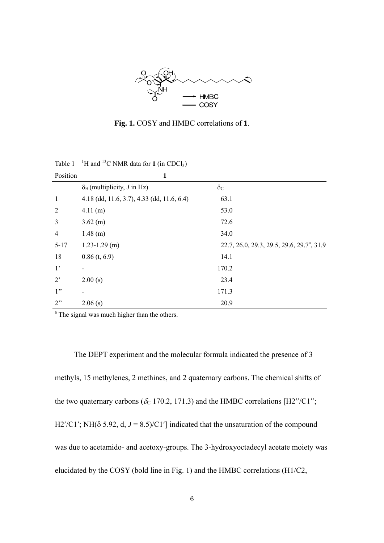

**Fig. 1.** COSY and HMBC correlations of **1**.

| Position       | $\mathbf{1}$                               |                                                        |
|----------------|--------------------------------------------|--------------------------------------------------------|
|                | $\delta_H$ (multiplicity, <i>J</i> in Hz)  | $\delta_{\rm C}$                                       |
| $\mathbf{1}$   | 4.18 (dd, 11.6, 3.7), 4.33 (dd, 11.6, 6.4) | 63.1                                                   |
| $\overline{2}$ | 4.11(m)                                    | 53.0                                                   |
| $\overline{3}$ | $3.62$ (m)                                 | 72.6                                                   |
| 4              | $1.48$ (m)                                 | 34.0                                                   |
| $5 - 17$       | $1.23 - 1.29$ (m)                          | 22.7, 26.0, 29.3, 29.5, 29.6, 29.7 <sup>a</sup> , 31.9 |
| 18             | $0.86$ (t, 6.9)                            | 14.1                                                   |
| 1 <sup>2</sup> |                                            | 170.2                                                  |
| $2^{\circ}$    | 2.00(s)                                    | 23.4                                                   |
| 1"             |                                            | 171.3                                                  |
| 2"             | 2.06(s)                                    | 20.9                                                   |

Table  $1^{-1}$ H and <sup>13</sup>C NMR data for **1** (in CDCl<sub>3</sub>)

<sup>a</sup> The signal was much higher than the others.

The DEPT experiment and the molecular formula indicated the presence of 3 methyls, 15 methylenes, 2 methines, and 2 quaternary carbons. The chemical shifts of the two quaternary carbons ( $\delta_c$  170.2, 171.3) and the HMBC correlations [H2''/C1''; H2'/C1'; NH( $\delta$  5.92, d,  $J = 8.5$ )/C1'] indicated that the unsaturation of the compound was due to acetamido- and acetoxy-groups. The 3-hydroxyoctadecyl acetate moiety was elucidated by the COSY (bold line in Fig. 1) and the HMBC correlations (H1/C2,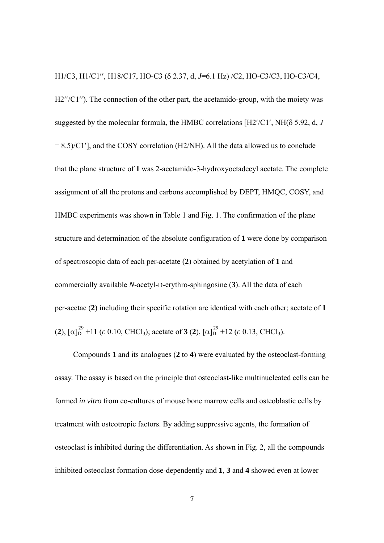H1/C3, H1/C1", H18/C17, HO-C3 ( $\delta$  2.37, d, J=6.1 Hz) /C2, HO-C3/C3, HO-C3/C4, H2"/C1"). The connection of the other part, the acetamido-group, with the moiety was suggested by the molecular formula, the HMBC correlations  $[H2'/C1', NH( \delta 5.92, d, J$  $= 8.5$ /C1'], and the COSY correlation (H2/NH). All the data allowed us to conclude that the plane structure of **1** was 2-acetamido-3-hydroxyoctadecyl acetate. The complete assignment of all the protons and carbons accomplished by DEPT, HMQC, COSY, and HMBC experiments was shown in Table 1 and Fig. 1. The confirmation of the plane structure and determination of the absolute configuration of **1** were done by comparison of spectroscopic data of each per-acetate (**2**) obtained by acetylation of **1** and commercially available *N*-acetyl-D-erythro-sphingosine (**3**). All the data of each per-acetae (**2**) including their specific rotation are identical with each other; acetate of **1**  $(2)$ ,  $[\alpha]_D^{29}$  +11 (*c* 0.10, CHCl<sub>3</sub>); acetate of **3** (2),  $[\alpha]_D^{29}$  +12 (*c* 0.13, CHCl<sub>3</sub>).

Compounds **1** and its analogues (**2** to **4**) were evaluated by the osteoclast-forming assay. The assay is based on the principle that osteoclast-like multinucleated cells can be formed *in vitro* from co-cultures of mouse bone marrow cells and osteoblastic cells by treatment with osteotropic factors. By adding suppressive agents, the formation of osteoclast is inhibited during the differentiation. As shown in Fig. 2, all the compounds inhibited osteoclast formation dose-dependently and **1**, **3** and **4** showed even at lower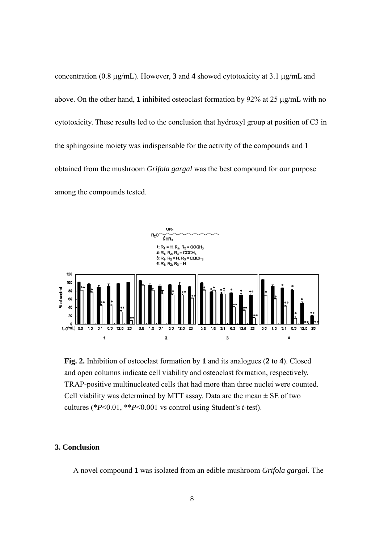concentration (0.8  $\mu$ g/mL). However, 3 and 4 showed cytotoxicity at 3.1  $\mu$ g/mL and above. On the other hand, 1 inhibited osteoclast formation by  $92\%$  at 25  $\mu$ g/mL with no cytotoxicity. These results led to the conclusion that hydroxyl group at position of C3 in the sphingosine moiety was indispensable for the activity of the compounds and **1** obtained from the mushroom *Grifola gargal* was the best compound for our purpose among the compounds tested.



**Fig. 2.** Inhibition of osteoclast formation by **1** and its analogues (**2** to **4**). Closed and open columns indicate cell viability and osteoclast formation, respectively. TRAP-positive multinucleated cells that had more than three nuclei were counted. Cell viability was determined by MTT assay. Data are the mean  $\pm$  SE of two cultures (\**P*<0.01, \*\**P*<0.001 vs control using Student's *t*-test).

## **3. Conclusion**

A novel compound **1** was isolated from an edible mushroom *Grifola gargal*. The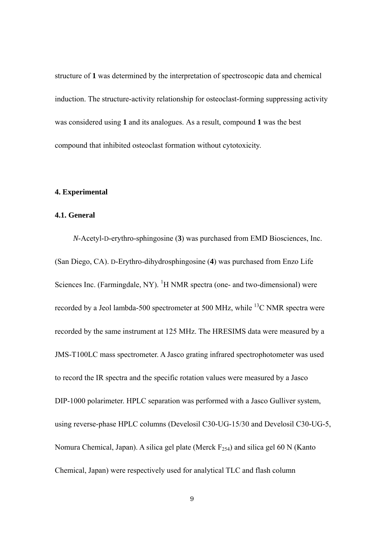structure of **1** was determined by the interpretation of spectroscopic data and chemical induction. The structure-activity relationship for osteoclast-forming suppressing activity was considered using **1** and its analogues. As a result, compound **1** was the best compound that inhibited osteoclast formation without cytotoxicity.

#### **4. Experimental**

### **4.1. General**

*N*-Acetyl-D-erythro-sphingosine (**3**) was purchased from EMD Biosciences, Inc. (San Diego, CA). D-Erythro-dihydrosphingosine (**4**) was purchased from Enzo Life Sciences Inc. (Farmingdale, NY).  ${}^{1}H$  NMR spectra (one- and two-dimensional) were recorded by a Jeol lambda-500 spectrometer at 500 MHz, while  $^{13}$ C NMR spectra were recorded by the same instrument at 125 MHz. The HRESIMS data were measured by a JMS-T100LC mass spectrometer. A Jasco grating infrared spectrophotometer was used to record the IR spectra and the specific rotation values were measured by a Jasco DIP-1000 polarimeter. HPLC separation was performed with a Jasco Gulliver system, using reverse-phase HPLC columns (Develosil C30-UG-15/30 and Develosil C30-UG-5, Nomura Chemical, Japan). A silica gel plate (Merck  $F_{254}$ ) and silica gel 60 N (Kanto Chemical, Japan) were respectively used for analytical TLC and flash column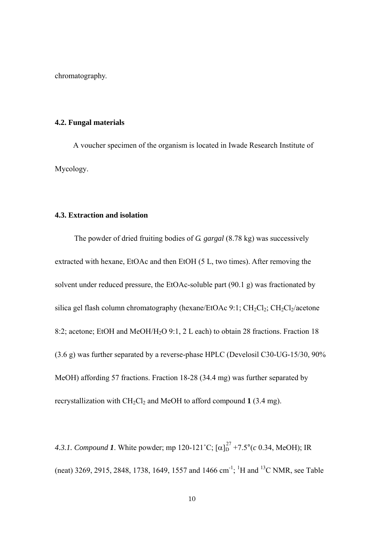chromatography.

#### **4.2. Fungal materials**

A voucher specimen of the organism is located in Iwade Research Institute of Mycology.

### **4.3. Extraction and isolation**

The powder of dried fruiting bodies of *G. gargal* (8.78 kg) was successively extracted with hexane, EtOAc and then EtOH (5 L, two times). After removing the solvent under reduced pressure, the EtOAc-soluble part (90.1 g) was fractionated by silica gel flash column chromatography (hexane/EtOAc 9:1;  $CH_2Cl_2$ ;  $CH_2Cl_2$ /acetone 8:2; acetone; EtOH and MeOH/H2O 9:1, 2 L each) to obtain 28 fractions. Fraction 18 (3.6 g) was further separated by a reverse-phase HPLC (Develosil C30-UG-15/30, 90% MeOH) affording 57 fractions. Fraction 18-28 (34.4 mg) was further separated by recrystallization with  $CH_2Cl_2$  and MeOH to afford compound 1 (3.4 mg).

4.3.1. *Compound* 1. White powder; mp 120-121°C;  $[\alpha]_D^{27}$  +7.5°(*c* 0.34, MeOH); IR (neat) 3269, 2915, 2848, 1738, 1649, 1557 and 1466 cm<sup>-1</sup>; <sup>1</sup>H and <sup>13</sup>C NMR, see Table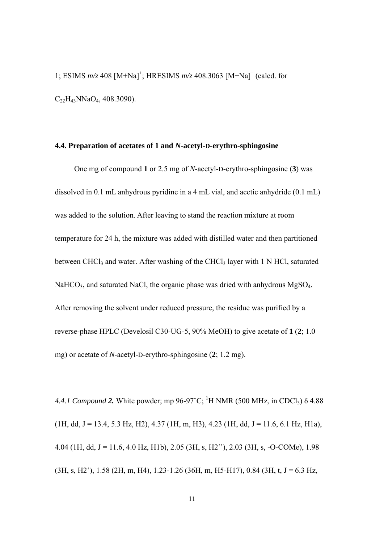1; ESIMS  $m/z$  408 [M+Na]<sup>+</sup>; HRESIMS  $m/z$  408.3063 [M+Na]<sup>+</sup> (calcd. for  $C_{22}H_{43}NNaO_4$ , 408.3090).

#### **4.4. Preparation of acetates of 1 and** *N***-acetyl-D-erythro-sphingosine**

One mg of compound **1** or 2.5 mg of *N*-acetyl-D-erythro-sphingosine (**3**) was dissolved in 0.1 mL anhydrous pyridine in a 4 mL vial, and acetic anhydride (0.1 mL) was added to the solution. After leaving to stand the reaction mixture at room temperature for 24 h, the mixture was added with distilled water and then partitioned between CHCl<sub>3</sub> and water. After washing of the CHCl<sub>3</sub> layer with 1 N HCl, saturated  $NaHCO<sub>3</sub>$ , and saturated NaCl, the organic phase was dried with anhydrous MgSO<sub>4</sub>. After removing the solvent under reduced pressure, the residue was purified by a reverse-phase HPLC (Develosil C30-UG-5, 90% MeOH) to give acetate of **1** (**2**; 1.0 mg) or acetate of *N*-acetyl-D-erythro-sphingosine (**2**; 1.2 mg).

4.4.1 Compound 2. White powder; mp 96-97<sup>°</sup>C; <sup>1</sup>H NMR (500 MHz, in CDCl<sub>3</sub>) δ 4.88  $(1H, dd, J = 13.4, 5.3 Hz, H2), 4.37 (1H, m, H3), 4.23 (1H, dd, J = 11.6, 6.1 Hz, H1a),$ 4.04 (1H, dd, J = 11.6, 4.0 Hz, H1b), 2.05 (3H, s, H2"), 2.03 (3H, s, -O-COMe), 1.98  $(3H, s, H2')$ , 1.58 (2H, m, H4), 1.23-1.26 (36H, m, H5-H17), 0.84 (3H, t, J = 6.3 Hz,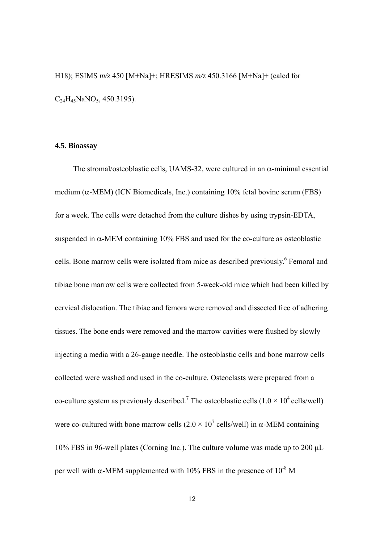H18); ESIMS *m/z* 450 [M+Na]+; HRESIMS *m/z* 450.3166 [M+Na]+ (calcd for  $C_{24}H_{45}NaNO_5$ , 450.3195).

#### **4.5. Bioassay**

The stromal/osteoblastic cells, UAMS-32, were cultured in an  $\alpha$ -minimal essential medium ( $\alpha$ -MEM) (ICN Biomedicals, Inc.) containing 10% fetal bovine serum (FBS) for a week. The cells were detached from the culture dishes by using trypsin-EDTA, suspended in  $\alpha$ -MEM containing 10% FBS and used for the co-culture as osteoblastic cells. Bone marrow cells were isolated from mice as described previously.<sup>6</sup> Femoral and tibiae bone marrow cells were collected from 5-week-old mice which had been killed by cervical dislocation. The tibiae and femora were removed and dissected free of adhering tissues. The bone ends were removed and the marrow cavities were flushed by slowly injecting a media with a 26-gauge needle. The osteoblastic cells and bone marrow cells collected were washed and used in the co-culture. Osteoclasts were prepared from a co-culture system as previously described.<sup>7</sup> The osteoblastic cells  $(1.0 \times 10^4 \text{ cells/well})$ were co-cultured with bone marrow cells  $(2.0 \times 10^7 \text{ cells/well})$  in  $\alpha$ -MEM containing 10% FBS in 96-well plates (Corning Inc.). The culture volume was made up to 200  $\mu$ L per well with  $\alpha$ -MEM supplemented with 10% FBS in the presence of 10<sup>-8</sup> M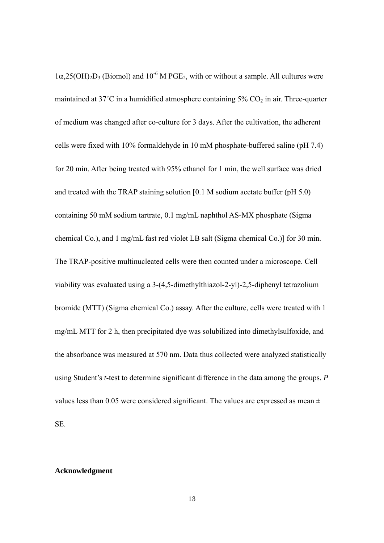$1\alpha,25(OH)_{2}D_{3}$  (Biomol) and  $10^{-6}$  M PGE<sub>2</sub>, with or without a sample. All cultures were maintained at 37°C in a humidified atmosphere containing  $5\%$  CO<sub>2</sub> in air. Three-quarter of medium was changed after co-culture for 3 days. After the cultivation, the adherent cells were fixed with 10% formaldehyde in 10 mM phosphate-buffered saline (pH 7.4) for 20 min. After being treated with 95% ethanol for 1 min, the well surface was dried and treated with the TRAP staining solution [0.1 M sodium acetate buffer (pH 5.0) containing 50 mM sodium tartrate, 0.1 mg/mL naphthol AS-MX phosphate (Sigma chemical Co.), and 1 mg/mL fast red violet LB salt (Sigma chemical Co.)] for 30 min. The TRAP-positive multinucleated cells were then counted under a microscope. Cell viability was evaluated using a 3-(4,5-dimethylthiazol-2-yl)-2,5-diphenyl tetrazolium bromide (MTT) (Sigma chemical Co.) assay. After the culture, cells were treated with 1 mg/mL MTT for 2 h, then precipitated dye was solubilized into dimethylsulfoxide, and the absorbance was measured at 570 nm. Data thus collected were analyzed statistically using Student's *t*-test to determine significant difference in the data among the groups. *P* values less than 0.05 were considered significant. The values are expressed as mean  $\pm$ SE.

#### **Acknowledgment**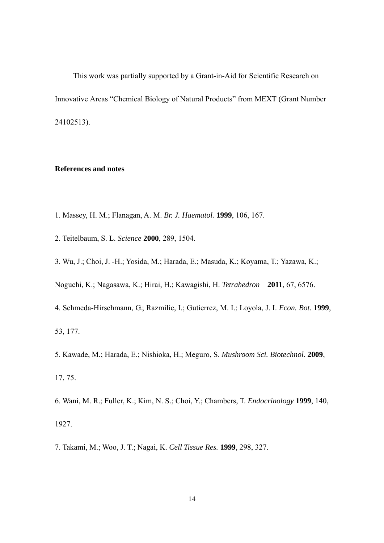This work was partially supported by a Grant-in-Aid for Scientific Research on Innovative Areas "Chemical Biology of Natural Products" from MEXT (Grant Number 24102513).

### **References and notes**

- 1. Massey, H. M.; Flanagan, A. M. *Br. J. Haematol.* **1999**, 106, 167.
- 2. Teitelbaum, S. L. *Science* **2000**, 289, 1504.
- 3. Wu, J.; Choi, J. -H.; Yosida, M.; Harada, E.; Masuda, K.; Koyama, T.; Yazawa, K.;

Noguchi, K.; Nagasawa, K.; Hirai, H.; Kawagishi, H. *Tetrahedron* **2011**, 67, 6576.

- 4. Schmeda-Hirschmann, G.; Razmilic, I.; Gutierrez, M. I.; Loyola, J. I. *Econ. Bot.* **1999**, 53, 177.
- 5. Kawade, M.; Harada, E.; Nishioka, H.; Meguro, S. *Mushroom Sci. Biotechnol.* **2009**, 17, 75.
- 6. Wani, M. R.; Fuller, K.; Kim, N. S.; Choi, Y.; Chambers, T. *Endocrinology* **1999**, 140, 1927.
- 7. Takami, M.; Woo, J. T.; Nagai, K. *Cell Tissue Res.* **1999**, 298, 327.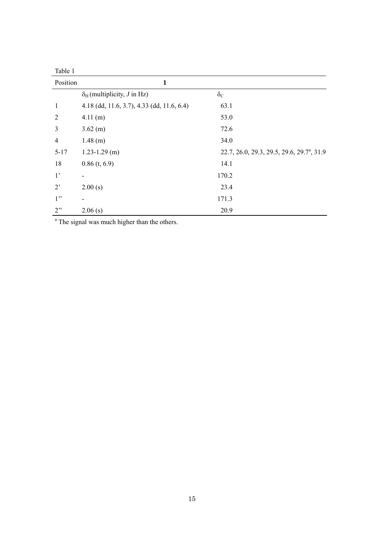| Position       | 1                                          |                                                        |
|----------------|--------------------------------------------|--------------------------------------------------------|
|                | $\delta_H$ (multiplicity, <i>J</i> in Hz)  | $\delta_{C}$                                           |
| 1              | 4.18 (dd, 11.6, 3.7), 4.33 (dd, 11.6, 6.4) | 63.1                                                   |
| $\overline{2}$ | 4.11(m)                                    | 53.0                                                   |
| 3              | $3.62$ (m)                                 | 72.6                                                   |
| $\overline{4}$ | $1.48$ (m)                                 | 34.0                                                   |
| $5 - 17$       | $1.23 - 1.29$ (m)                          | 22.7, 26.0, 29.3, 29.5, 29.6, 29.7 <sup>a</sup> , 31.9 |
| 18             | $0.86$ (t, 6.9)                            | 14.1                                                   |
| 1 <sup>2</sup> |                                            | 170.2                                                  |
| $2^{\circ}$    | 2.00(s)                                    | 23.4                                                   |
| 1"             |                                            | 171.3                                                  |
| 2"             | 2.06(s)                                    | 20.9                                                   |

<sup>a</sup> The signal was much higher than the others.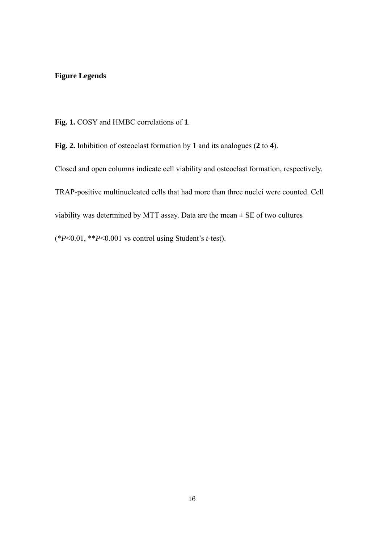# **Figure Legends**

**Fig. 1.** COSY and HMBC correlations of **1**.

**Fig. 2.** Inhibition of osteoclast formation by **1** and its analogues (**2** to **4**).

Closed and open columns indicate cell viability and osteoclast formation, respectively. TRAP-positive multinucleated cells that had more than three nuclei were counted. Cell viability was determined by MTT assay. Data are the mean  $\pm$  SE of two cultures (\**P*<0.01, \*\**P*<0.001 vs control using Student's *t*-test).